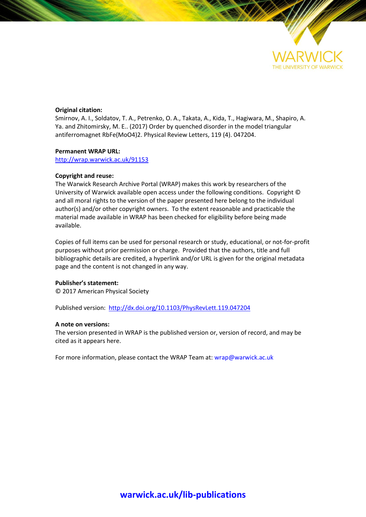

## **Original citation:**

Smirnov, A. I., Soldatov, T. A., Petrenko, O. A., Takata, A., Kida, T., Hagiwara, M., Shapiro, A. Ya. and Zhitomirsky, M. E.. (2017) Order by quenched disorder in the model triangular antiferromagnet RbFe(MoO4)2. Physical Review Letters, 119 (4). 047204.

### **Permanent WRAP URL:**

<http://wrap.warwick.ac.uk/91153>

### **Copyright and reuse:**

The Warwick Research Archive Portal (WRAP) makes this work by researchers of the University of Warwick available open access under the following conditions. Copyright © and all moral rights to the version of the paper presented here belong to the individual author(s) and/or other copyright owners. To the extent reasonable and practicable the material made available in WRAP has been checked for eligibility before being made available.

Copies of full items can be used for personal research or study, educational, or not-for-profit purposes without prior permission or charge. Provided that the authors, title and full bibliographic details are credited, a hyperlink and/or URL is given for the original metadata page and the content is not changed in any way.

### **Publisher's statement:**

© 2017 American Physical Society

Published version:<http://dx.doi.org/10.1103/PhysRevLett.119.047204>

### **A note on versions:**

The version presented in WRAP is the published version or, version of record, and may be cited as it appears here.

For more information, please contact the WRAP Team at[: wrap@warwick.ac.uk](mailto:wrap@warwick.ac.uk)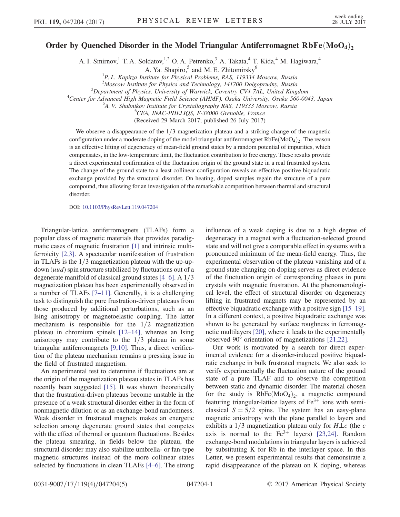# Order by Quenched Disorder in the Model Triangular Antiferromagnet  $RbFe(MoO<sub>4</sub>)<sub>2</sub>$

A. I. Smirnov,<sup>1</sup> T. A. Soldatov,<sup>1,2</sup> O. A. Petrenko,<sup>3</sup> A. Takata,<sup>4</sup> T. Kida,<sup>4</sup> M. Hagiwara,<sup>4</sup>

A. Ya. Shapiro, $5$  and M. E. Zhitomirsky<sup>6</sup>

<sup>1</sup>P. L. Kapitza Institute for Physical Problems, RAS, 119334 Moscow, Russia

<sup>2</sup>Moscow Institute for Physics and Technology, 141700 Dolgoprudny, Russia<sup>3</sup>Department of Physics University of Warwick, Coventry CV4.741, United King

 $3$ Department of Physics, University of Warwick, Coventry CV4 7AL, United Kingdom

<sup>4</sup>Center for Advanced High Magnetic Field Science (AHMF), Osaka University, Osaka 560-0043, Japan

<sup>5</sup>A. V. Shubnikov Institute for Crystallography RAS, 119333 Moscow, Russia

<sup>6</sup>CEA, INAC-PHELIQS, F-38000 Grenoble, France

(Received 29 March 2017; published 26 July 2017)

We observe a disappearance of the  $1/3$  magnetization plateau and a striking change of the magnetic configuration under a moderate doping of the model triangular antiferromagnet  $RbFe(MoO<sub>4</sub>)<sub>2</sub>$ . The reason is an effective lifting of degeneracy of mean-field ground states by a random potential of impurities, which compensates, in the low-temperature limit, the fluctuation contribution to free energy. These results provide a direct experimental confirmation of the fluctuation origin of the ground state in a real frustrated system. The change of the ground state to a least collinear configuration reveals an effective positive biquadratic exchange provided by the structural disorder. On heating, doped samples regain the structure of a pure compound, thus allowing for an investigation of the remarkable competition between thermal and structural disorder.

DOI: [10.1103/PhysRevLett.119.047204](https://doi.org/10.1103/PhysRevLett.119.047204)

Triangular-lattice antiferromagnets (TLAFs) form a popular class of magnetic materials that provides paradigmatic cases of magnetic frustration [\[1\]](#page-5-0) and intrinsic multiferroicity [\[2,3\].](#page-5-1) A spectacular manifestation of frustration in TLAFs is the  $1/3$  magnetization plateau with the up-updown (*uud*) spin structure stabilized by fluctuations out of a degenerate manifold of classical ground states  $[4-6]$ . A  $1/3$ magnetization plateau has been experimentally observed in a number of TLAFs [7–[11\].](#page-5-3) Generally, it is a challenging task to distinguish the pure frustration-driven plateaus from those produced by additional perturbations, such as an Ising anisotropy or magnetoelastic coupling. The latter mechanism is responsible for the  $1/2$  magnetization plateau in chromium spinels [12–[14\],](#page-5-4) whereas an Ising anisotropy may contribute to the  $1/3$  plateau in some triangular antiferromagnets [\[9,10\]](#page-5-5). Thus, a direct verification of the plateau mechanism remains a pressing issue in the field of frustrated magnetism.

An experimental test to determine if fluctuations are at the origin of the magnetization plateau states in TLAFs has recently been suggested [\[15\]](#page-5-6). It was shown theoretically that the frustration-driven plateaus become unstable in the presence of a weak structural disorder either in the form of nonmagnetic dilution or as an exchange-bond randomness. Weak disorder in frustrated magnets makes an energetic selection among degenerate ground states that competes with the effect of thermal or quantum fluctuations. Besides the plateau smearing, in fields below the plateau, the structural disorder may also stabilize umbrella- or fan-type magnetic structures instead of the more collinear states selected by fluctuations in clean TLAFs [4–[6\].](#page-5-2) The strong influence of a weak doping is due to a high degree of degeneracy in a magnet with a fluctuation-selected ground state and will not give a comparable effect in systems with a pronounced minimum of the mean-field energy. Thus, the experimental observation of the plateau vanishing and of a ground state changing on doping serves as direct evidence of the fluctuation origin of corresponding phases in pure crystals with magnetic frustration. At the phenomenological level, the effect of structural disorder on degeneracy lifting in frustrated magnets may be represented by an effective biquadratic exchange with a positive sign [\[15](#page-5-6)–19]. In a different context, a positive biquadratic exchange was shown to be generated by surface roughness in ferromagnetic multilayers [\[20\],](#page-5-7) where it leads to the experimentally observed 90° orientation of magnetizations [\[21,22\]](#page-5-8).

Our work is motivated by a search for direct experimental evidence for a disorder-induced positive biquadratic exchange in bulk frustrated magnets. We also seek to verify experimentally the fluctuation nature of the ground state of a pure TLAF and to observe the competition between static and dynamic disorder. The material chosen for the study is  $RbFe(MoO<sub>4</sub>)<sub>2</sub>$ , a magnetic compound featuring triangular-lattice layers of  $Fe<sup>3+</sup>$  ions with semiclassical  $S = 5/2$  spins. The system has an easy-plane magnetic anisotropy with the plane parallel to layers and exhibits a 1/3 magnetization plateau only for  $H\bot c$  (the c axis is normal to the  $Fe^{3+}$  layers) [\[23,24\]](#page-5-9). Random exchange-bond modulations in triangular layers is achieved by substituting K for Rb in the interlayer space. In this Letter, we present experimental results that demonstrate a rapid disappearance of the plateau on K doping, whereas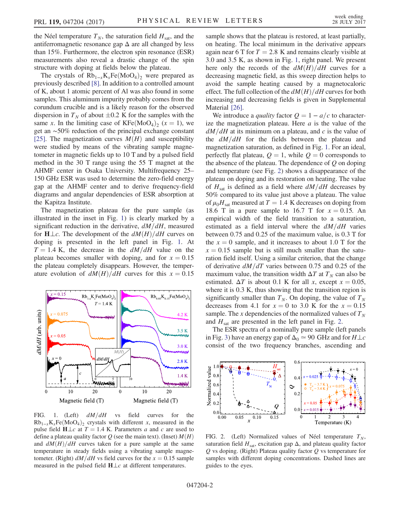the Néel temperature  $T_N$ , the saturation field  $H_{\text{sat}}$ , and the antiferromagnetic resonance gap  $\Delta$  are all changed by less than 15%. Furthermore, the electron spin resonance (ESR) measurements also reveal a drastic change of the spin structure with doping at fields below the plateau.

The crystals of  $Rb_{1-x}K_xFe(MoO_4)_2$  were prepared as previously described [\[8\]](#page-5-10). In addition to a controlled amount of K, about 1 atomic percent of Al was also found in some samples. This aluminum impurity probably comes from the corundum crucible and is a likely reason for the observed dispersion in  $T_N$  of about  $\pm 0.2$  K for the samples with the same x. In the limiting case of  $KFe(MoO<sub>4</sub>)<sub>2</sub>$  (x = 1), we get an ∼50% reduction of the principal exchange constant [\[25\]](#page-5-11). The magnetization curves  $M(H)$  and susceptibility were studied by means of the vibrating sample magnetometer in magnetic fields up to 10 T and by a pulsed field method in the 30 T range using the 55 T magnet at the AHMF center in Osaka University. Multifrequency 25– 150 GHz ESR was used to determine the zero-field energy gap at the AHMF center and to derive frequency-field diagrams and angular dependencies of ESR absorption at the Kapitza Institute.

The magnetization plateau for the pure sample (as illustrated in the inset in Fig. [1](#page-2-0)) is clearly marked by a significant reduction in the derivative,  $dM/dH$ , measured for  $H \perp c$ . The development of the  $dM(H)/dH$  curves on doping is presented in the left panel in Fig. [1](#page-2-0). At  $T = 1.4$  K, the decrease in the  $dM/dH$  value on the plateau becomes smaller with doping, and for  $x = 0.15$ the plateau completely disappears. However, the temperature evolution of  $dM(H)/dH$  curves for this  $x = 0.15$ 

<span id="page-2-0"></span>

FIG. 1. (Left)  $dM/dH$  vs field curves for the  $Rb_{1-x}K_xFe(MoO_4)$  crystals with different x, measured in the pulse field  $H \perp c$  at  $T = 1.4$  K. Parameters a and c are used to define a plateau quality factor Q (see the main text). (Inset)  $M(H)$ and  $dM(H)/dH$  curves taken for a pure sample at the same temperature in steady fields using a vibrating sample magnetometer. (Right)  $dM/dH$  vs field curves for the  $x = 0.15$  sample measured in the pulsed field  $H \perp c$  at different temperatures.

sample shows that the plateau is restored, at least partially, on heating. The local minimum in the derivative appears again near 6 T for  $T = 2.8$  K and remains clearly visible at 3.0 and 3.5 K, as shown in Fig. [1,](#page-2-0) right panel. We present here only the records of the  $dM(H)/dH$  curves for a decreasing magnetic field, as this sweep direction helps to avoid the sample heating caused by a magnetocaloric effect. The full collection of the  $dM(H)/dH$  curves for both increasing and decreasing fields is given in Supplemental Material [\[26\].](#page-5-12)

We introduce a *quality* factor  $Q = 1 - a/c$  to characterize the magnetization plateau. Here  $a$  is the value of the  $dM/dH$  at its minimum on a plateau, and c is the value of the  $dM/dH$  for the fields between the plateau and magnetization saturation, as defined in Fig. [1.](#page-2-0) For an ideal, perfectly flat plateau,  $Q = 1$ , while  $Q = 0$  corresponds to the absence of the plateau. The dependence of  $Q$  on doping and temperature (see Fig. [2](#page-2-1)) shows a disappearance of the plateau on doping and its restoration on heating. The value of  $H<sub>sat</sub>$  is defined as a field where  $dM/dH$  decreases by 50% compared to its value just above a plateau. The value of  $\mu_0H_{\text{sat}}$  measured at  $T = 1.4$  K decreases on doping from 18.6 T in a pure sample to 16.7 T for  $x = 0.15$ . An empirical width of the field transition to a saturation, estimated as a field interval where the  $dM/dH$  varies between 0.75 and 0.25 of the maximum value, is 0.3 T for the  $x = 0$  sample, and it increases to about 1.0 T for the  $x = 0.15$  sample but is still much smaller than the saturation field itself. Using a similar criterion, that the change of derivative  $dM/dT$  varies between 0.75 and 0.25 of the maximum value, the transition width  $\Delta T$  at  $T_N$  can also be estimated.  $\Delta T$  is about 0.1 K for all x, except  $x = 0.05$ , where it is  $0.3$  K, thus showing that the transition region is significantly smaller than  $T_N$ . On doping, the value of  $T_N$ decreases from 4.1 for  $x = 0$  to 3.0 K for the  $x = 0.15$ sample. The x dependencies of the normalized values of  $T_N$ and  $H<sub>sat</sub>$  are presented in the left panel in Fig. [2.](#page-2-1)

The ESR spectra of a nominally pure sample (left panels in Fig. [3](#page-3-0)) have an energy gap of  $\Delta_0 \approx 90 \text{ GHz}$  and for  $H \perp c$ consist of the two frequency branches, ascending and

<span id="page-2-1"></span>

FIG. 2. (Left) Normalized values of Néel temperature  $T_N$ , saturation field  $H_{\text{sat}}$ , excitation gap  $\Delta$ , and plateau quality factor  $Q$  vs doping. (Right) Plateau quality factor  $Q$  vs temperature for samples with different doping concentrations. Dashed lines are guides to the eyes.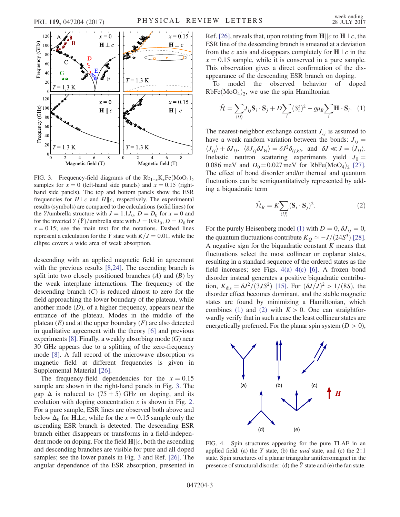<span id="page-3-0"></span>

FIG. 3. Frequency-field diagrams of the  $Rb_{1-x}K_xFe(MoO_4)_2$ samples for  $x = 0$  (left-hand side panels) and  $x = 0.15$  (righthand side panels). The top and bottom panels show the ESR frequencies for  $H \perp c$  and  $H \parallel c$ , respectively. The experimental results (symbols) are compared to the calculations (solid lines) for the Y/umbrella structure with  $J = 1.1J_0$ ,  $D = D_0$  for  $x = 0$  and for the inverted  $Y(\bar{Y})$ /umbrella state with  $J=0.9J_0, D=D_0$  for  $x = 0.15$ ; see the main text for the notations. Dashed lines represent a calculation for the  $\bar{Y}$  state with  $K/J = 0.01$ , while the ellipse covers a wide area of weak absorption.

descending with an applied magnetic field in agreement with the previous results [\[8,24\]](#page-5-10). The ascending branch is split into two closely positioned branches  $(A)$  and  $(B)$  by the weak interplane interactions. The frequency of the descending branch  $(C)$  is reduced almost to zero for the field approaching the lower boundary of the plateau, while another mode  $(D)$ , of a higher frequency, appears near the entrance of the plateau. Modes in the middle of the plateau  $(E)$  and at the upper boundary  $(F)$  are also detected in qualitative agreement with the theory [\[6\]](#page-5-13) and previous experiments  $[8]$ . Finally, a weakly absorbing mode  $(G)$  near 30 GHz appears due to a splitting of the zero-frequency mode [\[8\].](#page-5-10) A full record of the microwave absorption vs magnetic field at different frequencies is given in Supplemental Material [\[26\].](#page-5-12)

The frequency-field dependencies for the  $x = 0.15$ sample are shown in the right-hand panels in Fig. [3.](#page-3-0) The gap  $\Delta$  is reduced to  $(75 \pm 5)$  GHz on doping, and its evolution with doping concentration  $x$  is shown in Fig. [2](#page-2-1). For a pure sample, ESR lines are observed both above and below  $\Delta_0$  for  $H \perp c$ , while for the  $x = 0.15$  sample only the ascending ESR branch is detected. The descending ESR branch either disappears or transforms in a field-independent mode on doping. For the field  $\mathbf{H}||c$ , both the ascending and descending branches are visible for pure and all doped samples; see the lower panels in Fig. [3](#page-3-0) and Ref. [\[26\]](#page-5-12). The angular dependence of the ESR absorption, presented in Ref. [\[26\]](#page-5-12), reveals that, upon rotating from  $\mathbf{H} \parallel c$  to  $\mathbf{H} \perp c$ , the ESR line of the descending branch is smeared at a deviation from the c axis and disappears completely for  $H \perp c$  in the  $x = 0.15$  sample, while it is conserved in a pure sample. This observation gives a direct confirmation of the disappearance of the descending ESR branch on doping.

<span id="page-3-1"></span>To model the observed behavior of doped  $RbFe(MoO<sub>4</sub>)<sub>2</sub>$ , we use the spin Hamiltonian

$$
\hat{\mathcal{H}} = \sum_{\langle ij \rangle} J_{ij} \mathbf{S}_i \cdot \mathbf{S}_j + D \sum_i (\mathbf{S}_i^z)^2 - g \mu_B \sum_i \mathbf{H} \cdot \mathbf{S}_i. \tag{1}
$$

The nearest-neighbor exchange constant  $J_{ij}$  is assumed to have a weak random variation between the bonds:  $J_{ii} =$  $\langle J_{ij} \rangle + \delta J_{ij}, \ \langle \delta J_{ij} \delta J_{kl} \rangle = \delta J^2 \delta_{ij,kl}, \text{ and } \delta J \ll J = \langle J_{ij} \rangle.$ Inelastic neutron scattering experiments yield  $J_0 =$ 0.086 meV and  $D_0 = 0.027$  meV for RbFe $(M_0O_4)_2$  [\[27\]](#page-5-14). The effect of bond disorder and/or thermal and quantum fluctuations can be semiquantitatively represented by adding a biquadratic term

$$
\hat{\mathcal{H}}_B = K \sum_{\langle ij \rangle} (\mathbf{S}_i \cdot \mathbf{S}_j)^2.
$$
 (2)

<span id="page-3-3"></span>For the purely Heisenberg model [\(1\)](#page-3-1) with  $D = 0$ ,  $\delta J_{ij} = 0$ , the quantum fluctuations contribute  $K_Q \simeq -J/(24S^3)$  [\[28\]](#page-5-15). A negative sign for the biquadratic constant  $K$  means that fluctuations select the most collinear or coplanar states, resulting in a standard sequence of the ordered states as the field increases; see Figs.  $4(a) - 4(c)$  $4(a) - 4(c)$  [\[6\]](#page-5-13). A frozen bond disorder instead generates a positive biquadratic contribution,  $K_{dis} = \frac{\delta J^2}{(3JS^2)}$  [\[15\].](#page-5-6) For  $(\frac{\delta J}{J})^2 > 1/(8S)$ , the disorder effect becomes dominant, and the stable magnetic states are found by minimizing a Hamiltonian, which combines [\(1\)](#page-3-1) and [\(2\)](#page-3-3) with  $K > 0$ . One can straightforwardly verify that in such a case the least collinear states are energetically preferred. For the planar spin system  $(D > 0)$ ,

<span id="page-3-2"></span>

FIG. 4. Spin structures appearing for the pure TLAF in an applied field: (a) the Y state, (b) the *uud* state, and (c) the  $2:1$ state. Spin structures of a planar triangular antiferromagnet in the presence of structural disorder: (d) the  $\bar{Y}$  state and (e) the fan state.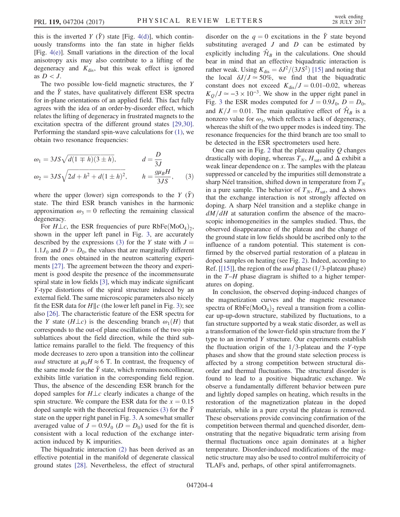this is the inverted Y  $(\bar{Y})$  state [Fig. [4\(d\)](#page-3-2)], which continuously transforms into the fan state in higher fields [Fig. [4\(e\)\]](#page-3-2). Small variations in the direction of the local anisotropy axis may also contribute to a lifting of the degeneracy and  $K_{\text{dis}}$ , but this weak effect is ignored as  $D < J$ .

The two possible low-field magnetic structures, the Y and the  $\bar{Y}$  states, have qualitatively different ESR spectra for in-plane orientations of an applied field. This fact fully agrees with the idea of an order-by-disorder effect, which relates the lifting of degeneracy in frustrated magnets to the excitation spectra of the different ground states [\[29,30\]](#page-5-16). Performing the standard spin-wave calculations for [\(1\)](#page-3-1), we obtain two resonance frequencies:

<span id="page-4-0"></span>
$$
\omega_1 = 3JS\sqrt{d(1 \mp h)(3 \pm h)}, \qquad d = \frac{D}{3J}
$$
  

$$
\omega_2 = 3JS\sqrt{2d + h^2 + d(1 \pm h)^2}, \qquad h = \frac{g\mu_B H}{3JS}, \qquad (3)
$$

where the upper (lower) sign corresponds to the  $Y(\bar{Y})$ state. The third ESR branch vanishes in the harmonic approximation  $\omega_3 = 0$  reflecting the remaining classical degeneracy.

For  $H \perp c$ , the ESR frequencies of pure RbFe $(M_0O_4)_2$ , shown in the upper left panel in Fig. [3](#page-3-0), are accurately described by the expressions [\(3\)](#page-4-0) for the Y state with  $J =$  $1.1J_0$  and  $D = D_0$ , the values that are marginally different from the ones obtained in the neutron scattering experiments [\[27\].](#page-5-14) The agreement between the theory and experiment is good despite the presence of the incommensurate spiral state in low fields [\[3\],](#page-5-17) which may indicate significant Y-type distortions of the spiral structure induced by an external field. The same microscopic parameters also nicely fit the ESR data for  $H||c$  (the lower left panel in Fig. [3](#page-3-0)); see also [\[26\]](#page-5-12). The characteristic feature of the ESR spectra for the Y state  $(H \perp c)$  is the descending branch  $\omega_1(H)$  that corresponds to the out-of plane oscillations of the two spin sublattices about the field direction, while the third sublattice remains parallel to the field. The frequency of this mode decreases to zero upon a transition into the collinear uud structure at  $\mu_0 H \approx 6$  T. In contrast, the frequency of the same mode for the  $\bar{Y}$  state, which remains noncollinear, exhibits little variation in the corresponding field region. Thus, the absence of the descending ESR branch for the doped samples for  $H \perp c$  clearly indicates a change of the spin structure. We compare the ESR data for the  $x = 0.15$ doped sample with the theoretical frequencies  $(3)$  for the Y state on the upper right panel in Fig. [3.](#page-3-0) A somewhat smaller averaged value of  $J = 0.9J_0$  ( $D = D_0$ ) used for the fit is consistent with a local reduction of the exchange interaction induced by K impurities.

The biquadratic interaction [\(2\)](#page-3-3) has been derived as an effective potential in the manifold of degenerate classical ground states [\[28\]](#page-5-15). Nevertheless, the effect of structural disorder on the  $q = 0$  excitations in the  $\bar{Y}$  state beyond substituting averaged  $J$  and  $D$  can be estimated by explicitly including  $\hat{\mathcal{H}}_B$  in the calculations. One should bear in mind that an effective biquadratic interaction is rather weak. Using  $K_{dis} = \delta J^2 / (3JS^2)$  [\[15\]](#page-5-6) and noting that the local  $\delta J/J \approx 50\%$ , we find that the biquadratic constant does not exceed  $K_{dis}/J = 0.01-0.02$ , whereas  $K_O/J \simeq -3 \times 10^{-3}$ . We show in the upper right panel in Fig. [3](#page-3-0) the ESR modes computed for  $J = 0.9J_0$ ,  $D = D_0$ , and  $K/J = 0.01$ . The main qualitative effect of  $\mathcal{H}_B$  is a nonzero value for  $\omega_3$ , which reflects a lack of degeneracy, whereas the shift of the two upper modes is indeed tiny. The resonance frequencies for the third branch are too small to be detected in the ESR spectrometers used here.

One can see in Fig. [2](#page-2-1) that the plateau quality  $Q$  changes drastically with doping, whereas  $T_N$ ,  $H_{\text{sat}}$ , and  $\Delta$  exhibit a weak linear dependence on  $x$ . The samples with the plateau suppressed or canceled by the impurities still demonstrate a sharp Néel transition, shifted down in temperature from  $T_N$ in a pure sample. The behavior of  $T_N$ ,  $H_{\text{sat}}$ , and  $\Delta$  shows that the exchange interaction is not strongly affected on doping. A sharp Néel transition and a steplike change in  $dM/dH$  at saturation confirm the absence of the macroscopic inhomogeneities in the samples studied. Thus, the observed disappearance of the plateau and the change of the ground state in low fields should be ascribed only to the influence of a random potential. This statement is confirmed by the observed partial restoration of a plateau in doped samples on heating (see Fig. [2](#page-2-1)). Indeed, according to Ref.  $[[15]]$  $[[15]]$ , the region of the *uud* phase  $(1/3$ -plateau phase) in the  $T$ – $H$  phase diagram is shifted to a higher temperatures on doping.

In conclusion, the observed doping-induced changes of the magnetization curves and the magnetic resonance spectra of  $RbFe(MoO<sub>4</sub>)$ , reveal a transition from a collinear up-up-down structure, stabilized by fluctuations, to a fan structure supported by a weak static disorder, as well as a transformation of the lower-field spin structure from the Y type to an inverted Y structure. Our experiments establish the fluctuation origin of the  $1/3$ -plateau and the Y-type phases and show that the ground state selection process is affected by a strong competition between structural disorder and thermal fluctuations. The structural disorder is found to lead to a positive biquadratic exchange. We observe a fundamentally different behavior between pure and lightly doped samples on heating, which results in the restoration of the magnetization plateau in the doped materials, while in a pure crystal the plateau is removed. These observations provide convincing confirmation of the competition between thermal and quenched disorder, demonstrating that the negative biquadratic term arising from thermal fluctuations once again dominates at a higher temperature. Disorder-induced modifications of the magnetic structure may also be used to control multiferroicity of TLAFs and, perhaps, of other spiral antiferromagnets.